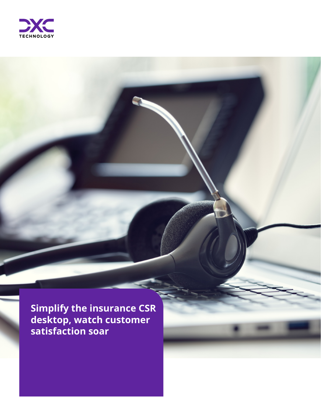

**Simplify the insurance CSR desktop, watch customer satisfaction soar**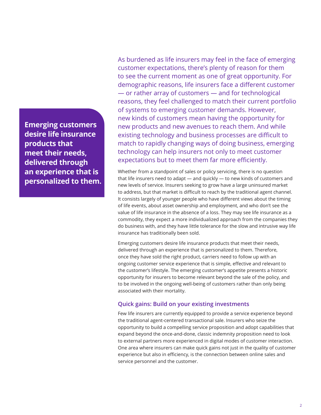**Emerging customers desire life insurance products that meet their needs, delivered through an experience that is personalized to them.** As burdened as life insurers may feel in the face of emerging customer expectations, there's plenty of reason for them to see the current moment as one of great opportunity. For demographic reasons, life insurers face a different customer — or rather array of customers — and for technological reasons, they feel challenged to match their current portfolio of systems to emerging customer demands. However, new kinds of customers mean having the opportunity for new products and new avenues to reach them. And while existing technology and business processes are difficult to match to rapidly changing ways of doing business, emerging technology can help insurers not only to meet customer expectations but to meet them far more efficiently.

Whether from a standpoint of sales or policy servicing, there is no question that life insurers need to adapt — and quickly — to new kinds of customers and new levels of service. Insurers seeking to grow have a large uninsured market to address, but that market is difficult to reach by the traditional agent channel. It consists largely of younger people who have different views about the timing of life events, about asset ownership and employment, and who don't see the value of life insurance in the absence of a loss. They may see life insurance as a commodity, they expect a more individualized approach from the companies they do business with, and they have little tolerance for the slow and intrusive way life insurance has traditionally been sold.

Emerging customers desire life insurance products that meet their needs, delivered through an experience that is personalized to them. Therefore, once they have sold the right product, carriers need to follow up with an ongoing customer service experience that is simple, effective and relevant to the customer's lifestyle. The emerging customer's appetite presents a historic opportunity for insurers to become relevant beyond the sale of the policy, and to be involved in the ongoing well-being of customers rather than only being associated with their mortality.

## **Quick gains: Build on your existing investments**

Few life insurers are currently equipped to provide a service experience beyond the traditional agent-centered transactional sale. Insurers who seize the opportunity to build a compelling service proposition and adopt capabilities that expand beyond the once-and-done, classic indemnity proposition need to look to external partners more experienced in digital modes of customer interaction. One area where insurers can make quick gains not just in the quality of customer experience but also in efficiency, is the connection between online sales and service personnel and the customer.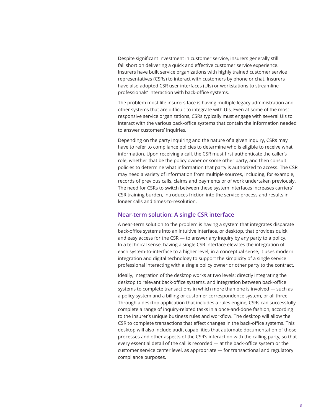Despite significant investment in customer service, insurers generally still fall short on delivering a quick and effective customer service experience. Insurers have built service organizations with highly trained customer service representatives (CSRs) to interact with customers by phone or chat. Insurers have also adopted CSR user interfaces (UIs) or workstations to streamline professionals' interaction with back-office systems.

The problem most life insurers face is having multiple legacy administration and other systems that are difficult to integrate with UIs. Even at some of the most responsive service organizations, CSRs typically must engage with several UIs to interact with the various back-office systems that contain the information needed to answer customers' inquiries.

Depending on the party inquiring and the nature of a given inquiry, CSRs may have to refer to compliance policies to determine who is eligible to receive what information. Upon receiving a call, the CSR must first authenticate the caller's role, whether that be the policy owner or some other party, and then consult policies to determine what information that party is authorized to access. The CSR may need a variety of information from multiple sources, including, for example, records of previous calls, claims and payments or of work undertaken previously. The need for CSRs to switch between these system interfaces increases carriers' CSR training burden, introduces friction into the service process and results in longer calls and times-to-resolution.

## **Near-term solution: A single CSR interface**

A near-term solution to the problem is having a system that integrates disparate back-office systems into an intuitive interface, or desktop, that provides quick and easy access for the CSR — to answer any inquiry by any party to a policy. In a technical sense, having a single CSR interface elevates the integration of each system-to-interface to a higher level; in a conceptual sense, it uses modern integration and digital technology to support the simplicity of a single service professional interacting with a single policy owner or other party to the contract.

Ideally, integration of the desktop works at two levels: directly integrating the desktop to relevant back-office systems, and integration between back-office systems to complete transactions in which more than one is involved — such as a policy system and a billing or customer correspondence system, or all three. Through a desktop application that includes a rules engine, CSRs can successfully complete a range of inquiry-related tasks in a once-and-done fashion, according to the insurer's unique business rules and workflow. The desktop will allow the CSR to complete transactions that effect changes in the back-office systems. This desktop will also include audit capabilities that automate documentation of those processes and other aspects of the CSR's interaction with the calling party, so that every essential detail of the call is recorded — at the back-office system or the customer service center level, as appropriate — for transactional and regulatory compliance purposes.